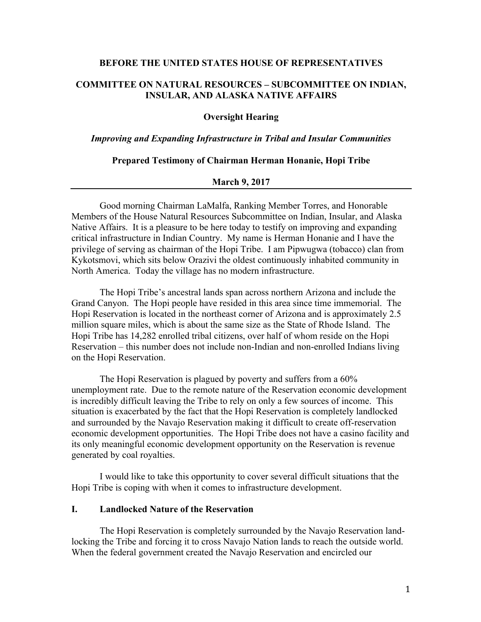### **BEFORE THE UNITED STATES HOUSE OF REPRESENTATIVES**

## **COMMITTEE ON NATURAL RESOURCES – SUBCOMMITTEE ON INDIAN, INSULAR, AND ALASKA NATIVE AFFAIRS**

## **Oversight Hearing**

### *Improving and Expanding Infrastructure in Tribal and Insular Communities*

#### **Prepared Testimony of Chairman Herman Honanie, Hopi Tribe**

### **March 9, 2017**

Good morning Chairman LaMalfa, Ranking Member Torres, and Honorable Members of the House Natural Resources Subcommittee on Indian, Insular, and Alaska Native Affairs. It is a pleasure to be here today to testify on improving and expanding critical infrastructure in Indian Country. My name is Herman Honanie and I have the privilege of serving as chairman of the Hopi Tribe. I am Pipwugwa (tobacco) clan from Kykotsmovi, which sits below Orazivi the oldest continuously inhabited community in North America. Today the village has no modern infrastructure.

The Hopi Tribe's ancestral lands span across northern Arizona and include the Grand Canyon. The Hopi people have resided in this area since time immemorial. The Hopi Reservation is located in the northeast corner of Arizona and is approximately 2.5 million square miles, which is about the same size as the State of Rhode Island. The Hopi Tribe has 14,282 enrolled tribal citizens, over half of whom reside on the Hopi Reservation – this number does not include non-Indian and non-enrolled Indians living on the Hopi Reservation.

The Hopi Reservation is plagued by poverty and suffers from a 60% unemployment rate. Due to the remote nature of the Reservation economic development is incredibly difficult leaving the Tribe to rely on only a few sources of income. This situation is exacerbated by the fact that the Hopi Reservation is completely landlocked and surrounded by the Navajo Reservation making it difficult to create off-reservation economic development opportunities. The Hopi Tribe does not have a casino facility and its only meaningful economic development opportunity on the Reservation is revenue generated by coal royalties.

I would like to take this opportunity to cover several difficult situations that the Hopi Tribe is coping with when it comes to infrastructure development.

### **I. Landlocked Nature of the Reservation**

The Hopi Reservation is completely surrounded by the Navajo Reservation landlocking the Tribe and forcing it to cross Navajo Nation lands to reach the outside world. When the federal government created the Navajo Reservation and encircled our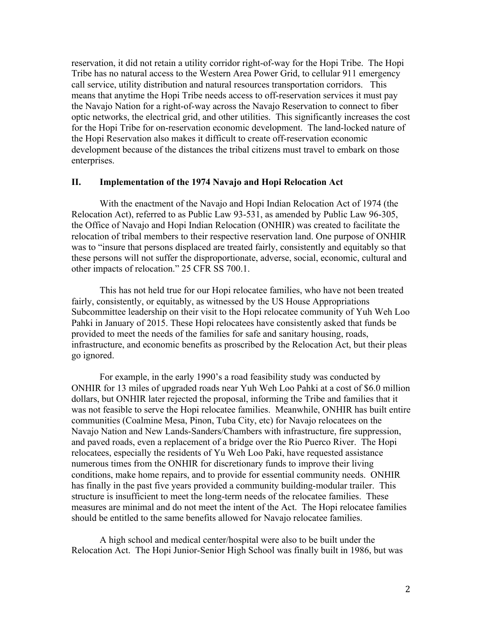reservation, it did not retain a utility corridor right-of-way for the Hopi Tribe. The Hopi Tribe has no natural access to the Western Area Power Grid, to cellular 911 emergency call service, utility distribution and natural resources transportation corridors. This means that anytime the Hopi Tribe needs access to off-reservation services it must pay the Navajo Nation for a right-of-way across the Navajo Reservation to connect to fiber optic networks, the electrical grid, and other utilities. This significantly increases the cost for the Hopi Tribe for on-reservation economic development. The land-locked nature of the Hopi Reservation also makes it difficult to create off-reservation economic development because of the distances the tribal citizens must travel to embark on those enterprises.

## **II. Implementation of the 1974 Navajo and Hopi Relocation Act**

With the enactment of the Navajo and Hopi Indian Relocation Act of 1974 (the Relocation Act), referred to as Public Law 93-531, as amended by Public Law 96-305, the Office of Navajo and Hopi Indian Relocation (ONHIR) was created to facilitate the relocation of tribal members to their respective reservation land. One purpose of ONHIR was to "insure that persons displaced are treated fairly, consistently and equitably so that these persons will not suffer the disproportionate, adverse, social, economic, cultural and other impacts of relocation." 25 CFR SS 700.1.

This has not held true for our Hopi relocatee families, who have not been treated fairly, consistently, or equitably, as witnessed by the US House Appropriations Subcommittee leadership on their visit to the Hopi relocatee community of Yuh Weh Loo Pahki in January of 2015. These Hopi relocatees have consistently asked that funds be provided to meet the needs of the families for safe and sanitary housing, roads, infrastructure, and economic benefits as proscribed by the Relocation Act, but their pleas go ignored.

For example, in the early 1990's a road feasibility study was conducted by ONHIR for 13 miles of upgraded roads near Yuh Weh Loo Pahki at a cost of \$6.0 million dollars, but ONHIR later rejected the proposal, informing the Tribe and families that it was not feasible to serve the Hopi relocatee families. Meanwhile, ONHIR has built entire communities (Coalmine Mesa, Pinon, Tuba City, etc) for Navajo relocatees on the Navajo Nation and New Lands-Sanders/Chambers with infrastructure, fire suppression, and paved roads, even a replacement of a bridge over the Rio Puerco River. The Hopi relocatees, especially the residents of Yu Weh Loo Paki, have requested assistance numerous times from the ONHIR for discretionary funds to improve their living conditions, make home repairs, and to provide for essential community needs. ONHIR has finally in the past five years provided a community building-modular trailer. This structure is insufficient to meet the long-term needs of the relocatee families. These measures are minimal and do not meet the intent of the Act. The Hopi relocatee families should be entitled to the same benefits allowed for Navajo relocatee families.

A high school and medical center/hospital were also to be built under the Relocation Act. The Hopi Junior-Senior High School was finally built in 1986, but was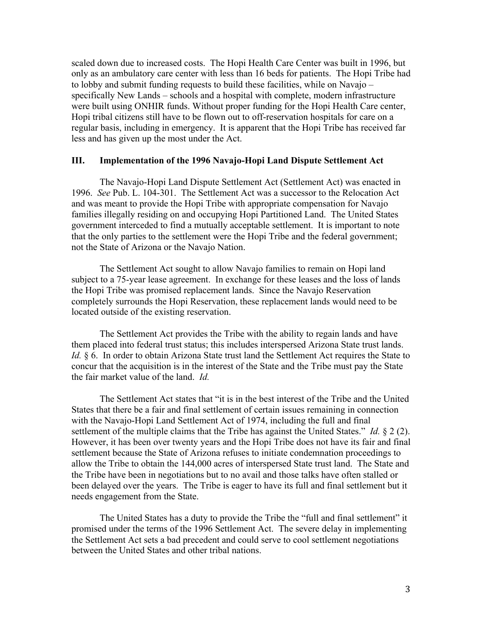scaled down due to increased costs. The Hopi Health Care Center was built in 1996, but only as an ambulatory care center with less than 16 beds for patients. The Hopi Tribe had to lobby and submit funding requests to build these facilities, while on Navajo – specifically New Lands – schools and a hospital with complete, modern infrastructure were built using ONHIR funds. Without proper funding for the Hopi Health Care center, Hopi tribal citizens still have to be flown out to off-reservation hospitals for care on a regular basis, including in emergency. It is apparent that the Hopi Tribe has received far less and has given up the most under the Act.

## **III. Implementation of the 1996 Navajo-Hopi Land Dispute Settlement Act**

The Navajo-Hopi Land Dispute Settlement Act (Settlement Act) was enacted in 1996. *See* Pub. L. 104-301. The Settlement Act was a successor to the Relocation Act and was meant to provide the Hopi Tribe with appropriate compensation for Navajo families illegally residing on and occupying Hopi Partitioned Land. The United States government interceded to find a mutually acceptable settlement. It is important to note that the only parties to the settlement were the Hopi Tribe and the federal government; not the State of Arizona or the Navajo Nation.

The Settlement Act sought to allow Navajo families to remain on Hopi land subject to a 75-year lease agreement. In exchange for these leases and the loss of lands the Hopi Tribe was promised replacement lands. Since the Navajo Reservation completely surrounds the Hopi Reservation, these replacement lands would need to be located outside of the existing reservation.

The Settlement Act provides the Tribe with the ability to regain lands and have them placed into federal trust status; this includes interspersed Arizona State trust lands. *Id.* § 6. In order to obtain Arizona State trust land the Settlement Act requires the State to concur that the acquisition is in the interest of the State and the Tribe must pay the State the fair market value of the land. *Id.*

The Settlement Act states that "it is in the best interest of the Tribe and the United States that there be a fair and final settlement of certain issues remaining in connection with the Navajo-Hopi Land Settlement Act of 1974, including the full and final settlement of the multiple claims that the Tribe has against the United States." *Id.* § 2 (2). However, it has been over twenty years and the Hopi Tribe does not have its fair and final settlement because the State of Arizona refuses to initiate condemnation proceedings to allow the Tribe to obtain the 144,000 acres of interspersed State trust land. The State and the Tribe have been in negotiations but to no avail and those talks have often stalled or been delayed over the years. The Tribe is eager to have its full and final settlement but it needs engagement from the State.

The United States has a duty to provide the Tribe the "full and final settlement" it promised under the terms of the 1996 Settlement Act. The severe delay in implementing the Settlement Act sets a bad precedent and could serve to cool settlement negotiations between the United States and other tribal nations.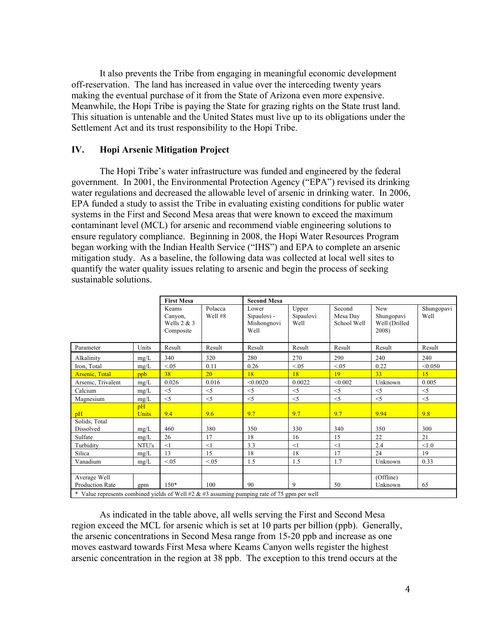It also prevents the Tribe from engaging in meaningful economic development off-reservation. The land has increased in value over the interceding twenty years making the eventual purchase of it from the State of Arizona even more expensive. Meanwhile, the Hopi Tribe is paying the State for grazing rights on the State trust land. This situation is untenable and the United States must live up to its obligations under the Settlement Act and its trust responsibility to the Hopi Tribe.

## **IV. Hopi Arsenic Mitigation Project**

The Hopi Tribe's water infrastructure was funded and engineered by the federal government. In 2001, the Environmental Protection Agency ("EPA") revised its drinking water regulations and decreased the allowable level of arsenic in drinking water. In 2006, EPA funded a study to assist the Tribe in evaluating existing conditions for public water systems in the First and Second Mesa areas that were known to exceed the maximum contaminant level (MCL) for arsenic and recommend viable engineering solutions to ensure regulatory compliance. Beginning in 2008, the Hopi Water Resources Program began working with the Indian Health Service ("IHS") and EPA to complete an arsenic mitigation study. As a baseline, the following data was collected at local well sites to quantify the water quality issues relating to arsenic and begin the process of seeking sustainable solutions.

|                                                                                                                                                 |                    | <b>First Mesa</b>                              |                    | <b>Second Mesa</b>                          |                            |                                   |                                             |                    |  |
|-------------------------------------------------------------------------------------------------------------------------------------------------|--------------------|------------------------------------------------|--------------------|---------------------------------------------|----------------------------|-----------------------------------|---------------------------------------------|--------------------|--|
|                                                                                                                                                 |                    | Keams<br>Canyon,<br>Wells $2 & 3$<br>Composite | Polacca<br>Well #8 | Lower<br>Sipaulovi -<br>Mishongnovi<br>Well | Upper<br>Sipaulovi<br>Well | Second<br>Mesa Day<br>School Well | New<br>Shungopavi<br>Well (Drilled<br>2008) | Shungopavi<br>Well |  |
| Parameter                                                                                                                                       | Units              | Result                                         | Result             | Result                                      | Result                     | Result                            | Result                                      | Result             |  |
| Alkalinity                                                                                                                                      | mg/L               | 340                                            | 320                | 280                                         | 270                        | 290                               | 240                                         | 240                |  |
| Iron, Total                                                                                                                                     | mg/L               | < 0.05                                         | 0.11               | 0.26                                        | < 0.05                     | < 0.05                            | 0.22                                        | < 0.050            |  |
| <b>Arsenic</b> , Total                                                                                                                          | ppb                | 38                                             | 20                 | 18                                          | 18                         | 19                                | 33                                          | 15                 |  |
| Arsenic, Trivalent                                                                                                                              | mg/L               | 0.026                                          | 0.016              | < 0.0020                                    | 0.0022                     | < 0.002                           | Unknown                                     | 0.005              |  |
| Calcium                                                                                                                                         | mg/L               | $<$ 5                                          | $<$ 5              | $<$ 5                                       | $<$ 5                      | $<$ 5                             | $<$ 5                                       | < 5                |  |
| Magnesium                                                                                                                                       | mg/L               | $<$ 5                                          | $<$ 5              | $<$ 5                                       | $<$ 5                      | $<$ 5                             | $<$ 5                                       | $\leq$ 5           |  |
| pH                                                                                                                                              | pH<br><b>Units</b> | 9.4                                            | 9.6                | 9.7                                         | 9.7                        | 9.7                               | 9.94                                        | 9.8                |  |
| Solids, Total<br>Dissolved                                                                                                                      | mg/L               | 460                                            | 380                | 350                                         | 330                        | 340                               | 350                                         | 300                |  |
| Sulfate                                                                                                                                         | mg/L               | 26                                             | 17                 | 18                                          | 16                         | 15                                | 22                                          | 21                 |  |
| Turbidity                                                                                                                                       | NTU's              | <1                                             | <1                 | 3.3                                         | <1                         | <1                                | 2.4                                         | < 1.0              |  |
| Silica                                                                                                                                          | mg/L               | 13                                             | 15                 | 18                                          | 18                         | 17                                | 24                                          | 19                 |  |
| Vanadium                                                                                                                                        | mg/L               | < 0.05                                         | <05                | 1.5                                         | 1.5                        | 1.7                               | Unknown                                     | 0.33               |  |
|                                                                                                                                                 |                    |                                                |                    |                                             |                            |                                   |                                             |                    |  |
| Average Well<br><b>Production Rate</b><br>$*$ Value represents combined vialds of Well #2, $\ell r$ #2 assuming numping rate of 75 gpm per well | gpm                | $150*$                                         | 100                | 90                                          | 9                          | 50                                | (Offline)<br>Unknown                        | 65                 |  |

\* Value represents combined yields of Well  $#2 \& #3$  assuming pumping rate of 75 gpm per well

As indicated in the table above, all wells serving the First and Second Mesa region exceed the MCL for arsenic which is set at 10 parts per billion (ppb). Generally, the arsenic concentrations in Second Mesa range from 15-20 ppb and increase as one moves eastward towards First Mesa where Keams Canyon wells register the highest arsenic concentration in the region at 38 ppb. The exception to this trend occurs at the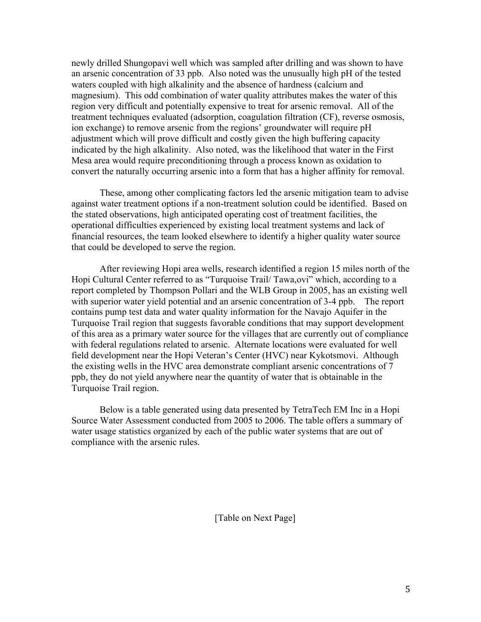newly drilled Shungopavi well which was sampled after drilling and was shown to have an arsenic concentration of 33 ppb. Also noted was the unusually high pH of the tested waters coupled with high alkalinity and the absence of hardness (calcium and magnesium). This odd combination of water quality attributes makes the water of this region very difficult and potentially expensive to treat for arsenic removal. All of the treatment techniques evaluated (adsorption, coagulation filtration (CF), reverse osmosis, ion exchange) to remove arsenic from the regions' groundwater will require pH adjustment which will prove difficult and costly given the high buffering capacity indicated by the high alkalinity. Also noted, was the likelihood that water in the First Mesa area would require preconditioning through a process known as oxidation to convert the naturally occurring arsenic into a form that has a higher affinity for removal.

These, among other complicating factors led the arsenic mitigation team to advise against water treatment options if a non-treatment solution could be identified. Based on the stated observations, high anticipated operating cost of treatment facilities, the operational difficulties experienced by existing local treatment systems and lack of financial resources, the team looked elsewhere to identify a higher quality water source that could be developed to serve the region.

After reviewing Hopi area wells, research identified a region 15 miles north of the Hopi Cultural Center referred to as "Turquoise Trail/ Tawa,ovi" which, according to a report completed by Thompson Pollari and the WLB Group in 2005, has an existing well with superior water yield potential and an arsenic concentration of 3-4 ppb. The report contains pump test data and water quality information for the Navajo Aquifer in the Turquoise Trail region that suggests favorable conditions that may support development of this area as a primary water source for the villages that are currently out of compliance with federal regulations related to arsenic. Alternate locations were evaluated for well field development near the Hopi Veteran's Center (HVC) near Kykotsmovi. Although the existing wells in the HVC area demonstrate compliant arsenic concentrations of 7 ppb, they do not yield anywhere near the quantity of water that is obtainable in the Turquoise Trail region.

Below is a table generated using data presented by TetraTech EM Inc in a Hopi Source Water Assessment conducted from 2005 to 2006. The table offers a summary of water usage statistics organized by each of the public water systems that are out of compliance with the arsenic rules.

[Table on Next Page]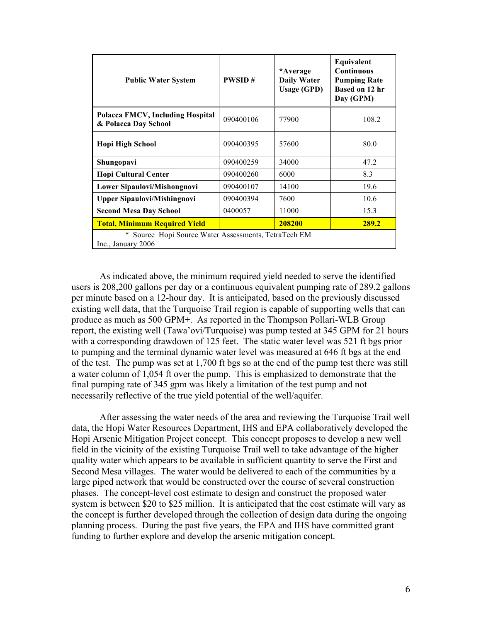| <b>Public Water System</b>                                               | <b>PWSID#</b> | *Average<br><b>Daily Water</b><br><b>Usage (GPD)</b> | Equivalent<br><b>Continuous</b><br><b>Pumping Rate</b><br>Based on 12 hr<br>Day (GPM) |  |  |  |
|--------------------------------------------------------------------------|---------------|------------------------------------------------------|---------------------------------------------------------------------------------------|--|--|--|
| Polacca FMCV, Including Hospital<br>& Polacca Day School                 | 090400106     | 77900                                                | 108.2                                                                                 |  |  |  |
| <b>Hopi High School</b>                                                  | 090400395     | 57600                                                | 80.0                                                                                  |  |  |  |
| Shungopavi                                                               | 090400259     | 34000                                                | 47.2                                                                                  |  |  |  |
| <b>Hopi Cultural Center</b>                                              | 090400260     | 6000                                                 | 8.3                                                                                   |  |  |  |
| Lower Sipaulovi/Mishongnovi                                              | 090400107     | 14100                                                | 19.6                                                                                  |  |  |  |
| <b>Upper Sipaulovi/Mishingnovi</b>                                       | 090400394     | 7600                                                 | 10.6                                                                                  |  |  |  |
| <b>Second Mesa Day School</b>                                            | 0400057       | 11000                                                | 15.3                                                                                  |  |  |  |
| <b>Total, Minimum Required Yield</b>                                     |               | 208200                                               | 289.2                                                                                 |  |  |  |
| Source Hopi Source Water Assessments, TetraTech EM<br>Inc., January 2006 |               |                                                      |                                                                                       |  |  |  |

As indicated above, the minimum required yield needed to serve the identified users is 208,200 gallons per day or a continuous equivalent pumping rate of 289.2 gallons per minute based on a 12-hour day. It is anticipated, based on the previously discussed existing well data, that the Turquoise Trail region is capable of supporting wells that can produce as much as 500 GPM+. As reported in the Thompson Pollari-WLB Group report, the existing well (Tawa'ovi/Turquoise) was pump tested at 345 GPM for 21 hours with a corresponding drawdown of 125 feet. The static water level was 521 ft bgs prior to pumping and the terminal dynamic water level was measured at 646 ft bgs at the end of the test. The pump was set at 1,700 ft bgs so at the end of the pump test there was still a water column of 1,054 ft over the pump. This is emphasized to demonstrate that the final pumping rate of 345 gpm was likely a limitation of the test pump and not necessarily reflective of the true yield potential of the well/aquifer.

After assessing the water needs of the area and reviewing the Turquoise Trail well data, the Hopi Water Resources Department, IHS and EPA collaboratively developed the Hopi Arsenic Mitigation Project concept. This concept proposes to develop a new well field in the vicinity of the existing Turquoise Trail well to take advantage of the higher quality water which appears to be available in sufficient quantity to serve the First and Second Mesa villages. The water would be delivered to each of the communities by a large piped network that would be constructed over the course of several construction phases. The concept-level cost estimate to design and construct the proposed water system is between \$20 to \$25 million. It is anticipated that the cost estimate will vary as the concept is further developed through the collection of design data during the ongoing planning process. During the past five years, the EPA and IHS have committed grant funding to further explore and develop the arsenic mitigation concept.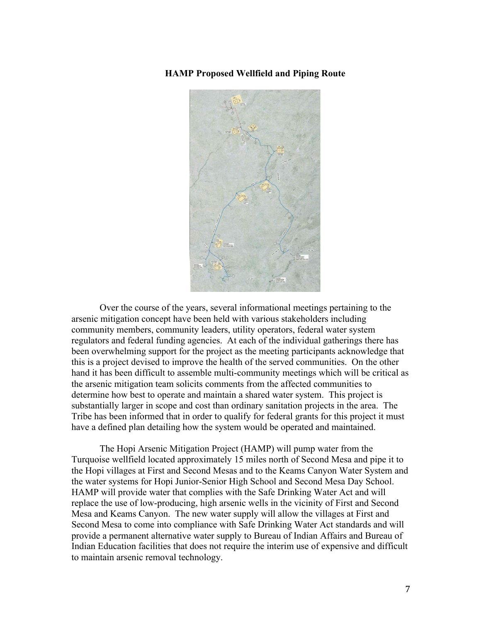**HAMP Proposed Wellfield and Piping Route** 



Over the course of the years, several informational meetings pertaining to the arsenic mitigation concept have been held with various stakeholders including community members, community leaders, utility operators, federal water system regulators and federal funding agencies. At each of the individual gatherings there has been overwhelming support for the project as the meeting participants acknowledge that this is a project devised to improve the health of the served communities. On the other hand it has been difficult to assemble multi-community meetings which will be critical as the arsenic mitigation team solicits comments from the affected communities to determine how best to operate and maintain a shared water system. This project is substantially larger in scope and cost than ordinary sanitation projects in the area. The Tribe has been informed that in order to qualify for federal grants for this project it must have a defined plan detailing how the system would be operated and maintained.

The Hopi Arsenic Mitigation Project (HAMP) will pump water from the Turquoise wellfield located approximately 15 miles north of Second Mesa and pipe it to the Hopi villages at First and Second Mesas and to the Keams Canyon Water System and the water systems for Hopi Junior-Senior High School and Second Mesa Day School. HAMP will provide water that complies with the Safe Drinking Water Act and will replace the use of low-producing, high arsenic wells in the vicinity of First and Second Mesa and Keams Canyon. The new water supply will allow the villages at First and Second Mesa to come into compliance with Safe Drinking Water Act standards and will provide a permanent alternative water supply to Bureau of Indian Affairs and Bureau of Indian Education facilities that does not require the interim use of expensive and difficult to maintain arsenic removal technology.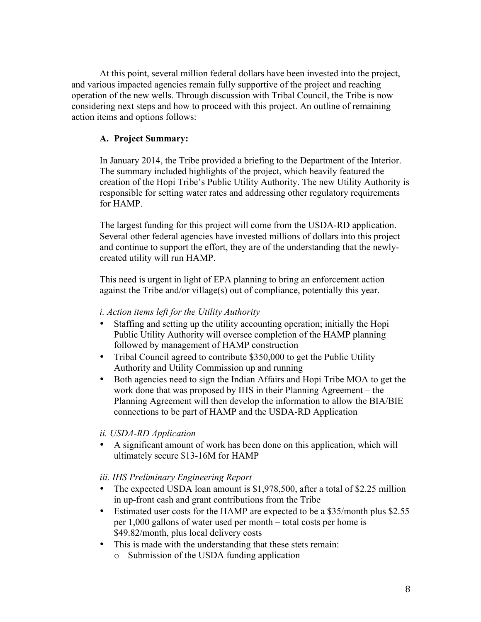At this point, several million federal dollars have been invested into the project, and various impacted agencies remain fully supportive of the project and reaching operation of the new wells. Through discussion with Tribal Council, the Tribe is now considering next steps and how to proceed with this project. An outline of remaining action items and options follows:

# **A. Project Summary:**

In January 2014, the Tribe provided a briefing to the Department of the Interior. The summary included highlights of the project, which heavily featured the creation of the Hopi Tribe's Public Utility Authority. The new Utility Authority is responsible for setting water rates and addressing other regulatory requirements for HAMP.

The largest funding for this project will come from the USDA-RD application. Several other federal agencies have invested millions of dollars into this project and continue to support the effort, they are of the understanding that the newlycreated utility will run HAMP.

This need is urgent in light of EPA planning to bring an enforcement action against the Tribe and/or village(s) out of compliance, potentially this year.

# *i. Action items left for the Utility Authority*

- Staffing and setting up the utility accounting operation; initially the Hopi Public Utility Authority will oversee completion of the HAMP planning followed by management of HAMP construction
- Tribal Council agreed to contribute \$350,000 to get the Public Utility Authority and Utility Commission up and running
- Both agencies need to sign the Indian Affairs and Hopi Tribe MOA to get the work done that was proposed by IHS in their Planning Agreement – the Planning Agreement will then develop the information to allow the BIA/BIE connections to be part of HAMP and the USDA-RD Application

# *ii. USDA-RD Application*

• A significant amount of work has been done on this application, which will ultimately secure \$13-16M for HAMP

# *iii. IHS Preliminary Engineering Report*

- The expected USDA loan amount is \$1,978,500, after a total of \$2.25 million in up-front cash and grant contributions from the Tribe
- Estimated user costs for the HAMP are expected to be a \$35/month plus \$2.55 per 1,000 gallons of water used per month – total costs per home is \$49.82/month, plus local delivery costs
- This is made with the understanding that these stets remain: o Submission of the USDA funding application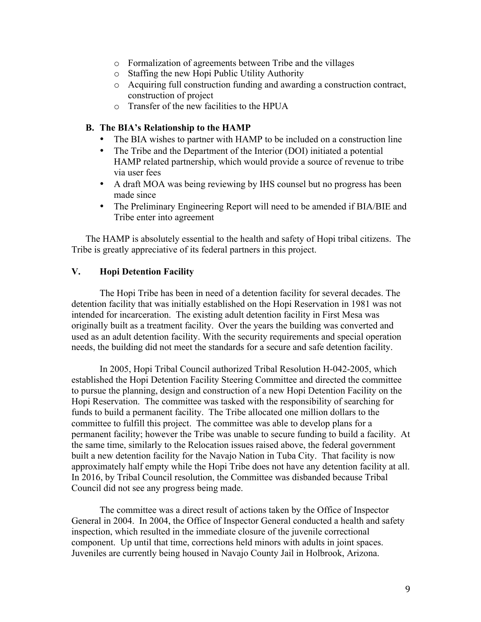- o Formalization of agreements between Tribe and the villages
- o Staffing the new Hopi Public Utility Authority
- o Acquiring full construction funding and awarding a construction contract, construction of project
- o Transfer of the new facilities to the HPUA

## **B. The BIA's Relationship to the HAMP**

- The BIA wishes to partner with HAMP to be included on a construction line
- The Tribe and the Department of the Interior (DOI) initiated a potential HAMP related partnership, which would provide a source of revenue to tribe via user fees
- A draft MOA was being reviewing by IHS counsel but no progress has been made since
- The Preliminary Engineering Report will need to be amended if BIA/BIE and Tribe enter into agreement

The HAMP is absolutely essential to the health and safety of Hopi tribal citizens. The Tribe is greatly appreciative of its federal partners in this project.

# **V. Hopi Detention Facility**

The Hopi Tribe has been in need of a detention facility for several decades. The detention facility that was initially established on the Hopi Reservation in 1981 was not intended for incarceration. The existing adult detention facility in First Mesa was originally built as a treatment facility. Over the years the building was converted and used as an adult detention facility. With the security requirements and special operation needs, the building did not meet the standards for a secure and safe detention facility.

In 2005, Hopi Tribal Council authorized Tribal Resolution H-042-2005, which established the Hopi Detention Facility Steering Committee and directed the committee to pursue the planning, design and construction of a new Hopi Detention Facility on the Hopi Reservation. The committee was tasked with the responsibility of searching for funds to build a permanent facility. The Tribe allocated one million dollars to the committee to fulfill this project. The committee was able to develop plans for a permanent facility; however the Tribe was unable to secure funding to build a facility. At the same time, similarly to the Relocation issues raised above, the federal government built a new detention facility for the Navajo Nation in Tuba City. That facility is now approximately half empty while the Hopi Tribe does not have any detention facility at all. In 2016, by Tribal Council resolution, the Committee was disbanded because Tribal Council did not see any progress being made.

The committee was a direct result of actions taken by the Office of Inspector General in 2004. In 2004, the Office of Inspector General conducted a health and safety inspection, which resulted in the immediate closure of the juvenile correctional component. Up until that time, corrections held minors with adults in joint spaces. Juveniles are currently being housed in Navajo County Jail in Holbrook, Arizona.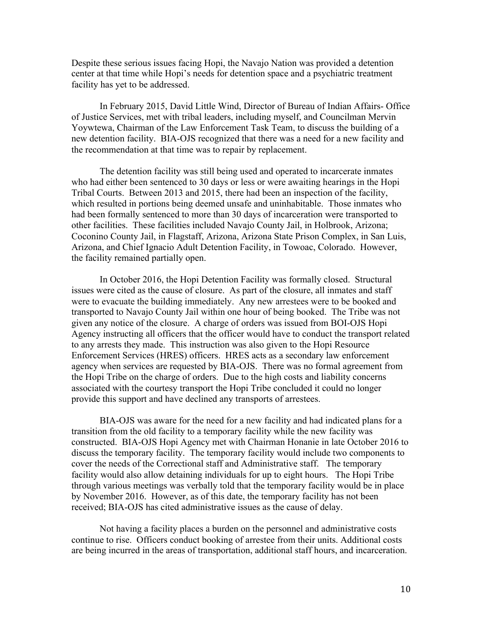Despite these serious issues facing Hopi, the Navajo Nation was provided a detention center at that time while Hopi's needs for detention space and a psychiatric treatment facility has yet to be addressed.

In February 2015, David Little Wind, Director of Bureau of Indian Affairs- Office of Justice Services, met with tribal leaders, including myself, and Councilman Mervin Yoywtewa, Chairman of the Law Enforcement Task Team, to discuss the building of a new detention facility. BIA-OJS recognized that there was a need for a new facility and the recommendation at that time was to repair by replacement.

The detention facility was still being used and operated to incarcerate inmates who had either been sentenced to 30 days or less or were awaiting hearings in the Hopi Tribal Courts. Between 2013 and 2015, there had been an inspection of the facility, which resulted in portions being deemed unsafe and uninhabitable. Those inmates who had been formally sentenced to more than 30 days of incarceration were transported to other facilities. These facilities included Navajo County Jail, in Holbrook, Arizona; Coconino County Jail, in Flagstaff, Arizona, Arizona State Prison Complex, in San Luis, Arizona, and Chief Ignacio Adult Detention Facility, in Towoac, Colorado. However, the facility remained partially open.

In October 2016, the Hopi Detention Facility was formally closed. Structural issues were cited as the cause of closure. As part of the closure, all inmates and staff were to evacuate the building immediately. Any new arrestees were to be booked and transported to Navajo County Jail within one hour of being booked. The Tribe was not given any notice of the closure. A charge of orders was issued from BOI-OJS Hopi Agency instructing all officers that the officer would have to conduct the transport related to any arrests they made. This instruction was also given to the Hopi Resource Enforcement Services (HRES) officers. HRES acts as a secondary law enforcement agency when services are requested by BIA-OJS. There was no formal agreement from the Hopi Tribe on the charge of orders. Due to the high costs and liability concerns associated with the courtesy transport the Hopi Tribe concluded it could no longer provide this support and have declined any transports of arrestees.

BIA-OJS was aware for the need for a new facility and had indicated plans for a transition from the old facility to a temporary facility while the new facility was constructed. BIA-OJS Hopi Agency met with Chairman Honanie in late October 2016 to discuss the temporary facility. The temporary facility would include two components to cover the needs of the Correctional staff and Administrative staff. The temporary facility would also allow detaining individuals for up to eight hours. The Hopi Tribe through various meetings was verbally told that the temporary facility would be in place by November 2016. However, as of this date, the temporary facility has not been received; BIA-OJS has cited administrative issues as the cause of delay.

Not having a facility places a burden on the personnel and administrative costs continue to rise. Officers conduct booking of arrestee from their units. Additional costs are being incurred in the areas of transportation, additional staff hours, and incarceration.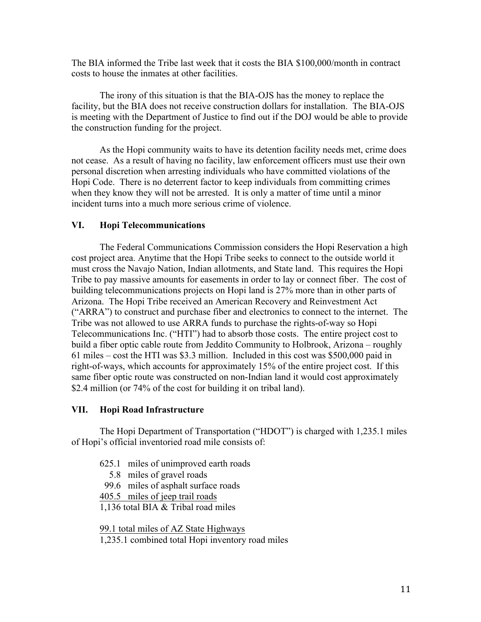The BIA informed the Tribe last week that it costs the BIA \$100,000/month in contract costs to house the inmates at other facilities.

The irony of this situation is that the BIA-OJS has the money to replace the facility, but the BIA does not receive construction dollars for installation. The BIA-OJS is meeting with the Department of Justice to find out if the DOJ would be able to provide the construction funding for the project.

As the Hopi community waits to have its detention facility needs met, crime does not cease. As a result of having no facility, law enforcement officers must use their own personal discretion when arresting individuals who have committed violations of the Hopi Code. There is no deterrent factor to keep individuals from committing crimes when they know they will not be arrested. It is only a matter of time until a minor incident turns into a much more serious crime of violence.

## **VI. Hopi Telecommunications**

The Federal Communications Commission considers the Hopi Reservation a high cost project area. Anytime that the Hopi Tribe seeks to connect to the outside world it must cross the Navajo Nation, Indian allotments, and State land. This requires the Hopi Tribe to pay massive amounts for easements in order to lay or connect fiber. The cost of building telecommunications projects on Hopi land is 27% more than in other parts of Arizona. The Hopi Tribe received an American Recovery and Reinvestment Act ("ARRA") to construct and purchase fiber and electronics to connect to the internet. The Tribe was not allowed to use ARRA funds to purchase the rights-of-way so Hopi Telecommunications Inc. ("HTI") had to absorb those costs. The entire project cost to build a fiber optic cable route from Jeddito Community to Holbrook, Arizona – roughly 61 miles – cost the HTI was \$3.3 million. Included in this cost was \$500,000 paid in right-of-ways, which accounts for approximately 15% of the entire project cost. If this same fiber optic route was constructed on non-Indian land it would cost approximately \$2.4 million (or 74% of the cost for building it on tribal land).

### **VII. Hopi Road Infrastructure**

The Hopi Department of Transportation ("HDOT") is charged with 1,235.1 miles of Hopi's official inventoried road mile consists of:

- 625.1 miles of unimproved earth roads
	- 5.8 miles of gravel roads
	- 99.6 miles of asphalt surface roads

405.5 miles of jeep trail roads

1,136 total BIA & Tribal road miles

99.1 total miles of AZ State Highways

1,235.1 combined total Hopi inventory road miles